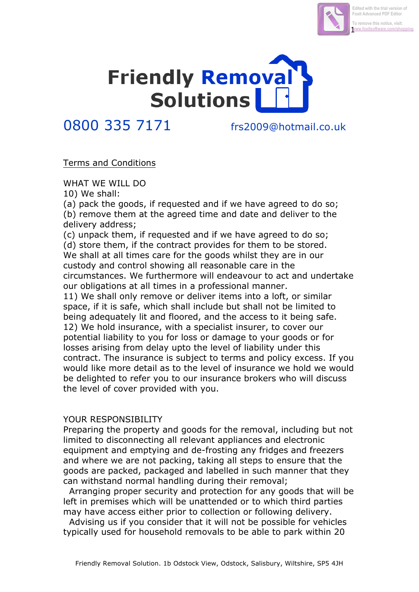



## 0800 335 7171 frs2009@hotmail.co.uk

## Terms and Conditions

WHAT WE WILL DO

10) We shall:

(a) pack the goods, if requested and if we have agreed to do so; (b) remove them at the agreed time and date and deliver to the delivery address;

(c) unpack them, if requested and if we have agreed to do so; (d) store them, if the contract provides for them to be stored. We shall at all times care for the goods whilst they are in our custody and control showing all reasonable care in the circumstances. We furthermore will endeavour to act and undertake our obligations at all times in a professional manner. 11) We shall only remove or deliver items into a loft, or similar space, if it is safe, which shall include but shall not be limited to being adequately lit and floored, and the access to it being safe. 12) We hold insurance, with a specialist insurer, to cover our potential liability to you for loss or damage to your goods or for losses arising from delay upto the level of liability under this contract. The insurance is subject to terms and policy excess. If you would like more detail as to the level of insurance we hold we would be delighted to refer you to our insurance brokers who will discuss the level of cover provided with you.

## YOUR RESPONSIBILITY

Preparing the property and goods for the removal, including but not limited to disconnecting all relevant appliances and electronic equipment and emptying and de-frosting any fridges and freezers and where we are not packing, taking all steps to ensure that the goods are packed, packaged and labelled in such manner that they can withstand normal handling during their removal;

Arranging proper security and protection for any goods that will be left in premises which will be unattended or to which third parties may have access either prior to collection or following delivery.

Advising us if you consider that it will not be possible for vehicles typically used for household removals to be able to park within 20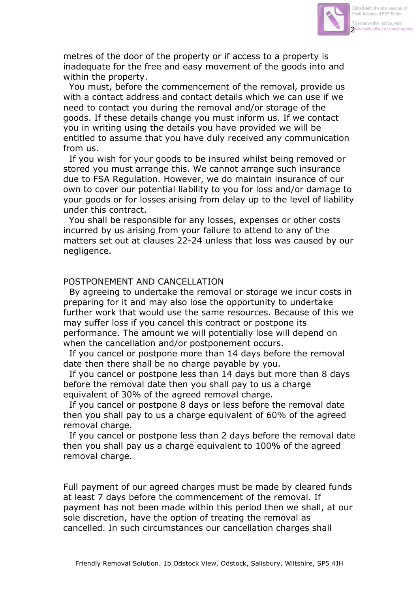

metres of the door of the property or if access to a property is inadequate for the free and easy movement of the goods into and within the property.

You must, before the commencement of the removal, provide us with a contact address and contact details which we can use if we need to contact you during the removal and/or storage of the goods. If these details change you must inform us. If we contact you in writing using the details you have provided we will be entitled to assume that you have duly received any communication from us.

If you wish for your goods to be insured whilst being removed or stored you must arrange this. We cannot arrange such insurance due to FSA Regulation. However, we do maintain insurance of our own to cover our potential liability to you for loss and/or damage to your goods or for losses arising from delay up to the level of liability under this contract.

You shall be responsible for any losses, expenses or other costs incurred by us arising from your failure to attend to any of the matters set out at clauses 22-24 unless that loss was caused by our negligence.

## POSTPONEMENT AND CANCELLATION

By agreeing to undertake the removal or storage we incur costs in preparing for it and may also lose the opportunity to undertake further work that would use the same resources. Because of this we may suffer loss if you cancel this contract or postpone its performance. The amount we will potentially lose will depend on when the cancellation and/or postponement occurs.

If you cancel or postpone more than 14 days before the removal date then there shall be no charge payable by you.

If you cancel or postpone less than 14 days but more than 8 days before the removal date then you shall pay to us a charge equivalent of 30% of the agreed removal charge.

If you cancel or postpone 8 days or less before the removal date then you shall pay to us a charge equivalent of 60% of the agreed removal charge.

If you cancel or postpone less than 2 days before the removal date then you shall pay us a charge equivalent to 100% of the agreed removal charge.

Full payment of our agreed charges must be made by cleared funds at least 7 days before the commencement of the removal. If payment has not been made within this period then we shall, at our sole discretion, have the option of treating the removal as cancelled. In such circumstances our cancellation charges shall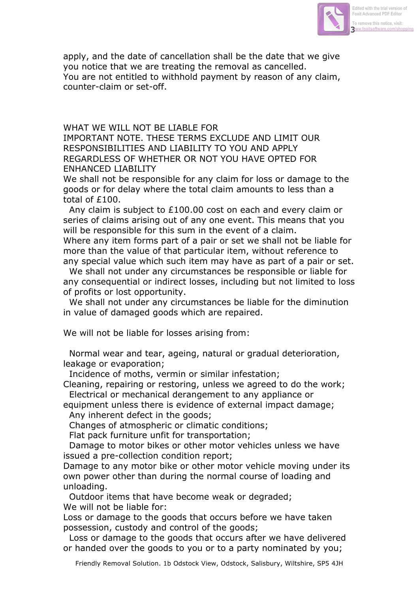

apply, and the date of cancellation shall be the date that we give you notice that we are treating the removal as cancelled. You are not entitled to withhold payment by reason of any claim, counter-claim or set-off.

WHAT WE WILL NOT BE LIABLE FOR IMPORTANT NOTE. THESE TERMS EXCLUDE AND LIMIT OUR RESPONSIBILITIES AND LIABILITY TO YOU AND APPLY REGARDLESS OF WHETHER OR NOT YOU HAVE OPTED FOR ENHANCED LIABILITY

We shall not be responsible for any claim for loss or damage to the goods or for delay where the total claim amounts to less than a total of £100.

Any claim is subject to £100.00 cost on each and every claim or series of claims arising out of any one event. This means that you will be responsible for this sum in the event of a claim.

Where any item forms part of a pair or set we shall not be liable for more than the value of that particular item, without reference to any special value which such item may have as part of a pair or set.

We shall not under any circumstances be responsible or liable for any consequential or indirect losses, including but not limited to loss of profits or lost opportunity.

We shall not under any circumstances be liable for the diminution in value of damaged goods which are repaired.

We will not be liable for losses arising from:

Normal wear and tear, ageing, natural or gradual deterioration, leakage or evaporation;

Incidence of moths, vermin or similar infestation;

Cleaning, repairing or restoring, unless we agreed to do the work; Electrical or mechanical derangement to any appliance or

equipment unless there is evidence of external impact damage; Any inherent defect in the goods;

Changes of atmospheric or climatic conditions;

Flat pack furniture unfit for transportation;

Damage to motor bikes or other motor vehicles unless we have issued a pre-collection condition report;

Damage to any motor bike or other motor vehicle moving under its own power other than during the normal course of loading and unloading.

 Outdoor items that have become weak or degraded; We will not be liable for:

Loss or damage to the goods that occurs before we have taken possession, custody and control of the goods;

Loss or damage to the goods that occurs after we have delivered or handed over the goods to you or to a party nominated by you;